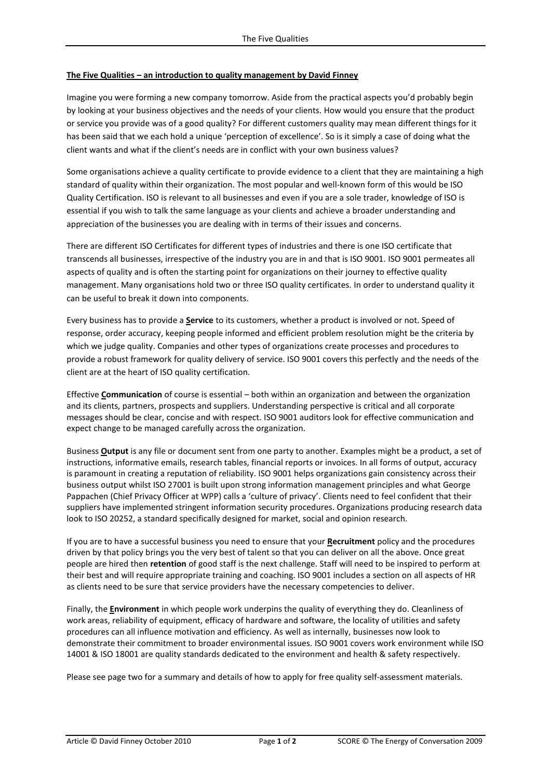## **The Five Qualities – an introduction to quality management by David Finney**

Imagine you were forming a new company tomorrow. Aside from the practical aspects you'd probably begin by looking at your business objectives and the needs of your clients. How would you ensure that the product or service you provide was of a good quality? For different customers quality may mean different things for it has been said that we each hold a unique 'perception of excellence'. So is it simply a case of doing what the client wants and what if the client's needs are in conflict with your own business values?

Some organisations achieve a quality certificate to provide evidence to a client that they are maintaining a high standard of quality within their organization. The most popular and well-known form of this would be ISO Quality Certification. ISO is relevant to all businesses and even if you are a sole trader, knowledge of ISO is essential if you wish to talk the same language as your clients and achieve a broader understanding and appreciation of the businesses you are dealing with in terms of their issues and concerns.

There are different ISO Certificates for different types of industries and there is one ISO certificate that transcends all businesses, irrespective of the industry you are in and that is ISO 9001. ISO 9001 permeates all aspects of quality and is often the starting point for organizations on their journey to effective quality management. Many organisations hold two or three ISO quality certificates. In order to understand quality it can be useful to break it down into components.

Every business has to provide a **Service** to its customers, whether a product is involved or not. Speed of response, order accuracy, keeping people informed and efficient problem resolution might be the criteria by which we judge quality. Companies and other types of organizations create processes and procedures to provide a robust framework for quality delivery of service. ISO 9001 covers this perfectly and the needs of the client are at the heart of ISO quality certification.

Effective **Communication** of course is essential – both within an organization and between the organization and its clients, partners, prospects and suppliers. Understanding perspective is critical and all corporate messages should be clear, concise and with respect. ISO 9001 auditors look for effective communication and expect change to be managed carefully across the organization.

Business **Output** is any file or document sent from one party to another. Examples might be a product, a set of instructions, informative emails, research tables, financial reports or invoices. In all forms of output, accuracy is paramount in creating a reputation of reliability. ISO 9001 helps organizations gain consistency across their business output whilst ISO 27001 is built upon strong information management principles and what George Pappachen (Chief Privacy Officer at WPP) calls a 'culture of privacy'. Clients need to feel confident that their suppliers have implemented stringent information security procedures. Organizations producing research data look to ISO 20252, a standard specifically designed for market, social and opinion research.

If you are to have a successful business you need to ensure that your **Recruitment** policy and the procedures driven by that policy brings you the very best of talent so that you can deliver on all the above. Once great people are hired then **retention** of good staff is the next challenge. Staff will need to be inspired to perform at their best and will require appropriate training and coaching. ISO 9001 includes a section on all aspects of HR as clients need to be sure that service providers have the necessary competencies to deliver.

Finally, the **Environment** in which people work underpins the quality of everything they do. Cleanliness of work areas, reliability of equipment, efficacy of hardware and software, the locality of utilities and safety procedures can all influence motivation and efficiency. As well as internally, businesses now look to demonstrate their commitment to broader environmental issues. ISO 9001 covers work environment while ISO 14001 & ISO 18001 are quality standards dedicated to the environment and health & safety respectively.

Please see page two for a summary and details of how to apply for free quality self-assessment materials.